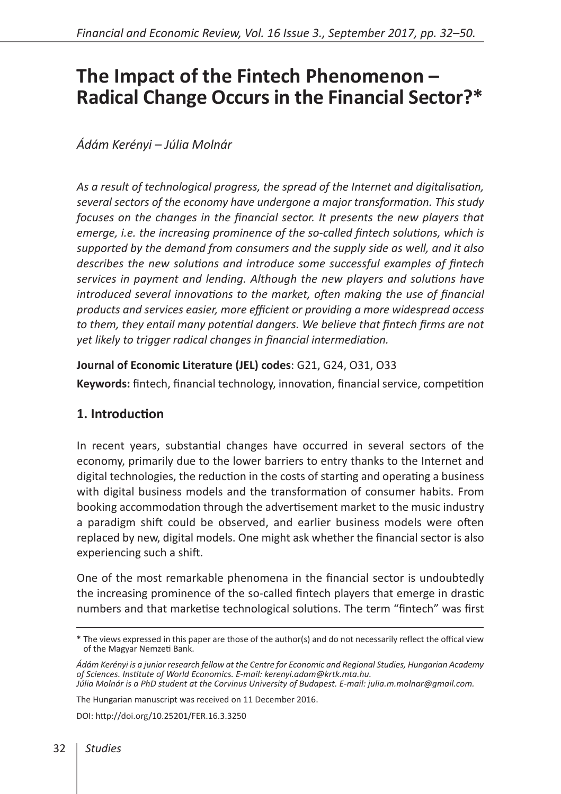# **The Impact of the Fintech Phenomenon – Radical Change Occurs in the Financial Sector?\***

# *Ádám Kerényi – Júlia Molnár*

*As a result of technological progress, the spread of the Internet and digitalisation, several sectors of the economy have undergone a major transformation. This study focuses on the changes in the financial sector. It presents the new players that emerge, i.e. the increasing prominence of the so-called fintech solutions, which is supported by the demand from consumers and the supply side as well, and it also describes the new solutions and introduce some successful examples of fintech services in payment and lending. Although the new players and solutions have introduced several innovations to the market, often making the use of financial products and services easier, more efficient or providing a more widespread access to them, they entail many potential dangers. We believe that fintech firms are not yet likely to trigger radical changes in financial intermediation.*

### **Journal of Economic Literature (JEL) codes**: G21, G24, O31, O33

**Keywords:** fintech, financial technology, innovation, financial service, competition

# **1. Introduction**

In recent years, substantial changes have occurred in several sectors of the economy, primarily due to the lower barriers to entry thanks to the Internet and digital technologies, the reduction in the costs of starting and operating a business with digital business models and the transformation of consumer habits. From booking accommodation through the advertisement market to the music industry a paradigm shift could be observed, and earlier business models were often replaced by new, digital models. One might ask whether the financial sector is also experiencing such a shift.

One of the most remarkable phenomena in the financial sector is undoubtedly the increasing prominence of the so-called fintech players that emerge in drastic numbers and that marketise technological solutions. The term "fintech" was first

The Hungarian manuscript was received on 11 December 2016.

DOI:<http://doi.org/10.25201/FER.16.3.3250>

<sup>\*</sup> The views expressed in this paper are those of the author(s) and do not necessarily reflect the offical view of the Magyar Nemzeti Bank.

*Ádám Kerényi is a junior research fellow at the Centre for Economic and Regional Studies, Hungarian Academy of Sciences. Institute of World Economics. E-mail: kerenyi.adam@krtk.mta.hu. Júlia Molnár is a PhD student at the Corvinus University of Budapest. E-mail: julia.m.molnar@gmail.com.*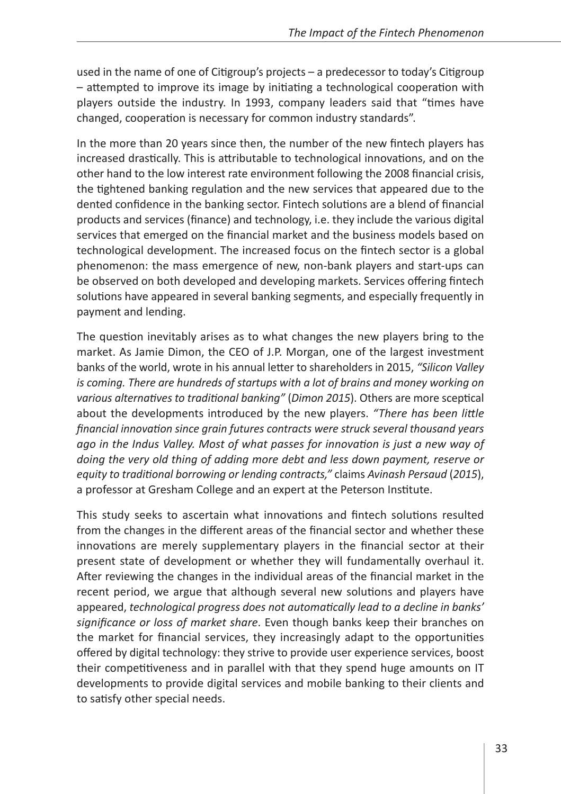used in the name of one of Citigroup's projects – a predecessor to today's Citigroup – attempted to improve its image by initiating a technological cooperation with players outside the industry. In 1993, company leaders said that "times have changed, cooperation is necessary for common industry standards".

In the more than 20 years since then, the number of the new fintech players has increased drastically. This is attributable to technological innovations, and on the other hand to the low interest rate environment following the 2008 financial crisis, the tightened banking regulation and the new services that appeared due to the dented confidence in the banking sector. Fintech solutions are a blend of financial products and services (finance) and technology, i.e. they include the various digital services that emerged on the financial market and the business models based on technological development. The increased focus on the fintech sector is a global phenomenon: the mass emergence of new, non-bank players and start-ups can be observed on both developed and developing markets. Services offering fintech solutions have appeared in several banking segments, and especially frequently in payment and lending.

The question inevitably arises as to what changes the new players bring to the market. As Jamie Dimon, the CEO of J.P. Morgan, one of the largest investment banks of the world, wrote in his annual letter to shareholders in 2015, *"Silicon Valley is coming. There are hundreds of startups with a lot of brains and money working on various alternatives to traditional banking"* (*Dimon 2015*). Others are more sceptical about the developments introduced by the new players. *"There has been little financial innovation since grain futures contracts were struck several thousand years ago in the Indus Valley. Most of what passes for innovation is just a new way of doing the very old thing of adding more debt and less down payment, reserve or equity to traditional borrowing or lending contracts,"* claims *Avinash Persaud* (*2015*), a professor at Gresham College and an expert at the Peterson Institute.

This study seeks to ascertain what innovations and fintech solutions resulted from the changes in the different areas of the financial sector and whether these innovations are merely supplementary players in the financial sector at their present state of development or whether they will fundamentally overhaul it. After reviewing the changes in the individual areas of the financial market in the recent period, we argue that although several new solutions and players have appeared, *technological progress does not automatically lead to a decline in banks' significance or loss of market share*. Even though banks keep their branches on the market for financial services, they increasingly adapt to the opportunities offered by digital technology: they strive to provide user experience services, boost their competitiveness and in parallel with that they spend huge amounts on IT developments to provide digital services and mobile banking to their clients and to satisfy other special needs.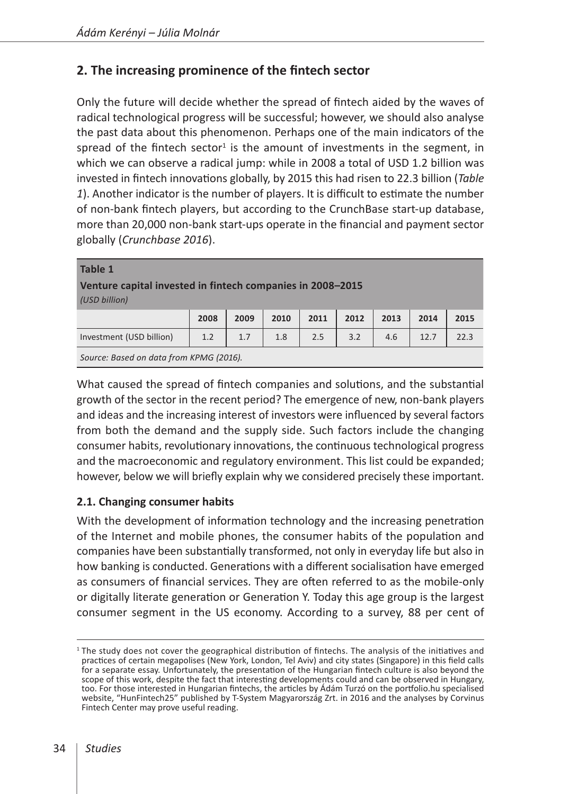# **2. The increasing prominence of the fintech sector**

Only the future will decide whether the spread of fintech aided by the waves of radical technological progress will be successful; however, we should also analyse the past data about this phenomenon. Perhaps one of the main indicators of the spread of the fintech sector<sup>1</sup> is the amount of investments in the segment, in which we can observe a radical jump: while in 2008 a total of USD 1.2 billion was invested in fintech innovations globally, by 2015 this had risen to 22.3 billion (*Table 1*). Another indicator is the number of players. It is difficult to estimate the number of non-bank fintech players, but according to the CrunchBase start-up database, more than 20,000 non-bank start-ups operate in the financial and payment sector globally (*Crunchbase 2016*).

| <b>Table 1</b><br>Venture capital invested in fintech companies in 2008-2015<br>(USD billion) |      |      |      |      |      |      |      |      |
|-----------------------------------------------------------------------------------------------|------|------|------|------|------|------|------|------|
|                                                                                               | 2008 | 2009 | 2010 | 2011 | 2012 | 2013 | 2014 | 2015 |
| Investment (USD billion)                                                                      | 1.2  | 1.7  | 1.8  | 2.5  | 3.2  | 4.6  | 12.7 | 22.3 |
| Source: Based on data from KPMG (2016).                                                       |      |      |      |      |      |      |      |      |

What caused the spread of fintech companies and solutions, and the substantial growth of the sector in the recent period? The emergence of new, non-bank players and ideas and the increasing interest of investors were influenced by several factors from both the demand and the supply side. Such factors include the changing consumer habits, revolutionary innovations, the continuous technological progress and the macroeconomic and regulatory environment. This list could be expanded; however, below we will briefly explain why we considered precisely these important.

# **2.1. Changing consumer habits**

With the development of information technology and the increasing penetration of the Internet and mobile phones, the consumer habits of the population and companies have been substantially transformed, not only in everyday life but also in how banking is conducted. Generations with a different socialisation have emerged as consumers of financial services. They are often referred to as the mobile-only or digitally literate generation or Generation Y. Today this age group is the largest consumer segment in the US economy. According to a survey, 88 per cent of

 $1$ The study does not cover the geographical distribution of fintechs. The analysis of the initiatives and practices of certain megapolises (New York, London, Tel Aviv) and city states (Singapore) in this field calls for a separate essay. Unfortunately, the presentation of the Hungarian fintech culture is also beyond the scope of this work, despite the fact that interesting developments could and can be observed in Hungary, too. For those interested in Hungarian fintechs, the articles by Ádám Turzó on the portfolio.hu specialised website, "HunFintech25" published by T-System Magyarország Zrt. in 2016 and the analyses by Corvinus Fintech Center may prove useful reading.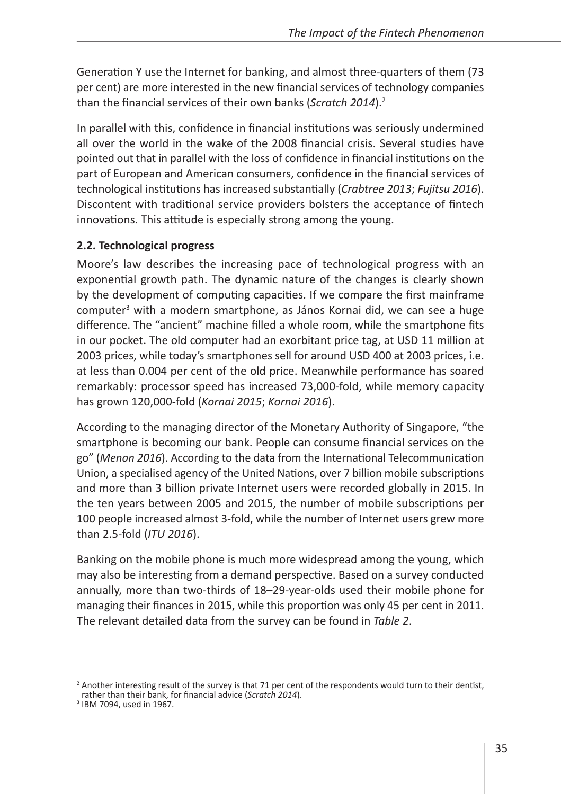Generation Y use the Internet for banking, and almost three-quarters of them (73 per cent) are more interested in the new financial services of technology companies than the financial services of their own banks (*Scratch 2014*).2

In parallel with this, confidence in financial institutions was seriously undermined all over the world in the wake of the 2008 financial crisis. Several studies have pointed out that in parallel with the loss of confidence in financial institutions on the part of European and American consumers, confidence in the financial services of technological institutions has increased substantially (*Crabtree 2013*; *Fujitsu 2016*). Discontent with traditional service providers bolsters the acceptance of fintech innovations. This attitude is especially strong among the young.

# **2.2. Technological progress**

Moore's law describes the increasing pace of technological progress with an exponential growth path. The dynamic nature of the changes is clearly shown by the development of computing capacities. If we compare the first mainframe computer<sup>3</sup> with a modern smartphone, as János Kornai did, we can see a huge difference. The "ancient" machine filled a whole room, while the smartphone fits in our pocket. The old computer had an exorbitant price tag, at USD 11 million at 2003 prices, while today's smartphones sell for around USD 400 at 2003 prices, i.e. at less than 0.004 per cent of the old price. Meanwhile performance has soared remarkably: processor speed has increased 73,000-fold, while memory capacity has grown 120,000-fold (*Kornai 2015*; *Kornai 2016*).

According to the managing director of the Monetary Authority of Singapore, "the smartphone is becoming our bank. People can consume financial services on the go" (*Menon 2016*). According to the data from the International Telecommunication Union, a specialised agency of the United Nations, over 7 billion mobile subscriptions and more than 3 billion private Internet users were recorded globally in 2015. In the ten years between 2005 and 2015, the number of mobile subscriptions per 100 people increased almost 3-fold, while the number of Internet users grew more than 2.5-fold (*ITU 2016*).

Banking on the mobile phone is much more widespread among the young, which may also be interesting from a demand perspective. Based on a survey conducted annually, more than two-thirds of 18–29-year-olds used their mobile phone for managing their finances in 2015, while this proportion was only 45 per cent in 2011. The relevant detailed data from the survey can be found in *Table 2*.

<sup>&</sup>lt;sup>2</sup> Another interesting result of the survey is that 71 per cent of the respondents would turn to their dentist, rather than their bank, for financial advice (*Scratch 2014*). <sup>3</sup> IBM 7094, used in 1967.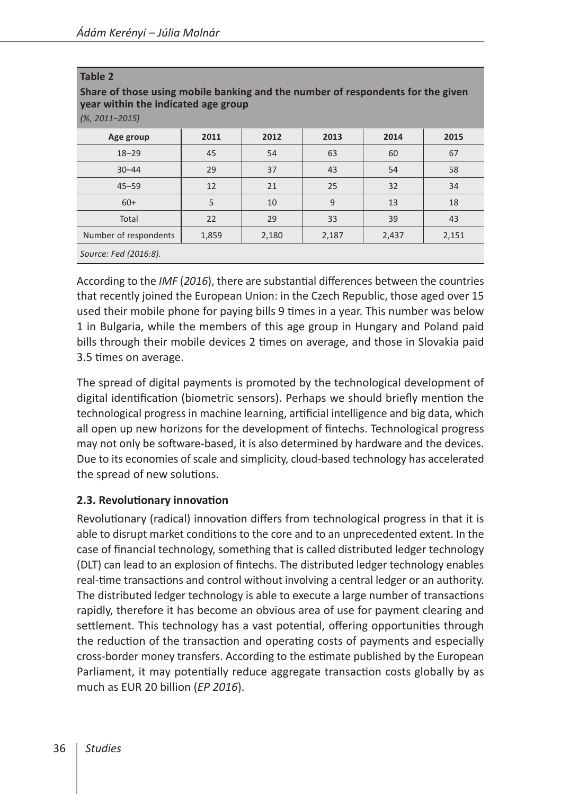| Table 2<br>Share of those using mobile banking and the number of respondents for the given<br>year within the indicated age group<br>$(% 2011 - 2015)$ |       |       |       |       |       |  |
|--------------------------------------------------------------------------------------------------------------------------------------------------------|-------|-------|-------|-------|-------|--|
| Age group                                                                                                                                              | 2011  | 2012  | 2013  | 2014  | 2015  |  |
| $18 - 29$                                                                                                                                              | 45    | 54    | 63    | 60    | 67    |  |
| $30 - 44$                                                                                                                                              | 29    | 37    | 43    | 54    | 58    |  |
| $45 - 59$                                                                                                                                              | 12    | 21    | 25    | 32    | 34    |  |
| $60+$                                                                                                                                                  | 5     | 10    | 9     | 13    | 18    |  |
| Total                                                                                                                                                  | 22    | 29    | 33    | 39    | 43    |  |
| Number of respondents                                                                                                                                  | 1,859 | 2,180 | 2,187 | 2,437 | 2,151 |  |
| Source: Fed (2016:8).                                                                                                                                  |       |       |       |       |       |  |

According to the *IMF* (*2016*), there are substantial differences between the countries that recently joined the European Union: in the Czech Republic, those aged over 15 used their mobile phone for paying bills 9 times in a year. This number was below 1 in Bulgaria, while the members of this age group in Hungary and Poland paid bills through their mobile devices 2 times on average, and those in Slovakia paid 3.5 times on average.

The spread of digital payments is promoted by the technological development of digital identification (biometric sensors). Perhaps we should briefly mention the technological progress in machine learning, artificial intelligence and big data, which all open up new horizons for the development of fintechs. Technological progress may not only be software-based, it is also determined by hardware and the devices. Due to its economies of scale and simplicity, cloud-based technology has accelerated the spread of new solutions.

# **2.3. Revolutionary innovation**

Revolutionary (radical) innovation differs from technological progress in that it is able to disrupt market conditions to the core and to an unprecedented extent. In the case of financial technology, something that is called distributed ledger technology (DLT) can lead to an explosion of fintechs. The distributed ledger technology enables real-time transactions and control without involving a central ledger or an authority. The distributed ledger technology is able to execute a large number of transactions rapidly, therefore it has become an obvious area of use for payment clearing and settlement. This technology has a vast potential, offering opportunities through the reduction of the transaction and operating costs of payments and especially cross-border money transfers. According to the estimate published by the European Parliament, it may potentially reduce aggregate transaction costs globally by as much as EUR 20 billion (*EP 2016*).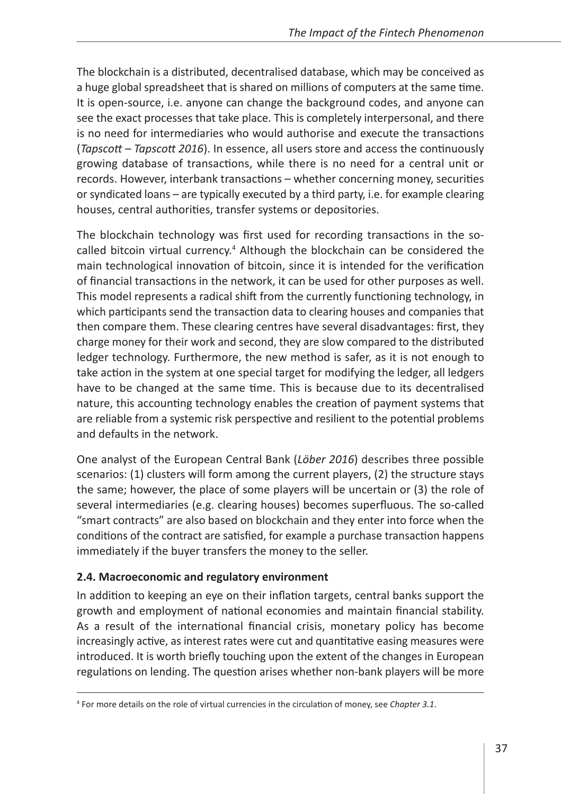The blockchain is a distributed, decentralised database, which may be conceived as a huge global spreadsheet that is shared on millions of computers at the same time. It is open-source, i.e. anyone can change the background codes, and anyone can see the exact processes that take place. This is completely interpersonal, and there is no need for intermediaries who would authorise and execute the transactions (*Tapscott* – *Tapscott 2016*). In essence, all users store and access the continuously growing database of transactions, while there is no need for a central unit or records. However, interbank transactions – whether concerning money, securities or syndicated loans – are typically executed by a third party, i.e. for example clearing houses, central authorities, transfer systems or depositories.

The blockchain technology was first used for recording transactions in the socalled bitcoin virtual currency.<sup>4</sup> Although the blockchain can be considered the main technological innovation of bitcoin, since it is intended for the verification of financial transactions in the network, it can be used for other purposes as well. This model represents a radical shift from the currently functioning technology, in which participants send the transaction data to clearing houses and companies that then compare them. These clearing centres have several disadvantages: first, they charge money for their work and second, they are slow compared to the distributed ledger technology. Furthermore, the new method is safer, as it is not enough to take action in the system at one special target for modifying the ledger, all ledgers have to be changed at the same time. This is because due to its decentralised nature, this accounting technology enables the creation of payment systems that are reliable from a systemic risk perspective and resilient to the potential problems and defaults in the network.

One analyst of the European Central Bank (*Löber 2016*) describes three possible scenarios: (1) clusters will form among the current players, (2) the structure stays the same; however, the place of some players will be uncertain or (3) the role of several intermediaries (e.g. clearing houses) becomes superfluous. The so-called "smart contracts" are also based on blockchain and they enter into force when the conditions of the contract are satisfied, for example a purchase transaction happens immediately if the buyer transfers the money to the seller.

# **2.4. Macroeconomic and regulatory environment**

In addition to keeping an eye on their inflation targets, central banks support the growth and employment of national economies and maintain financial stability. As a result of the international financial crisis, monetary policy has become increasingly active, as interest rates were cut and quantitative easing measures were introduced. It is worth briefly touching upon the extent of the changes in European regulations on lending. The question arises whether non-bank players will be more

<sup>4</sup> For more details on the role of virtual currencies in the circulation of money, see *Chapter 3.1*.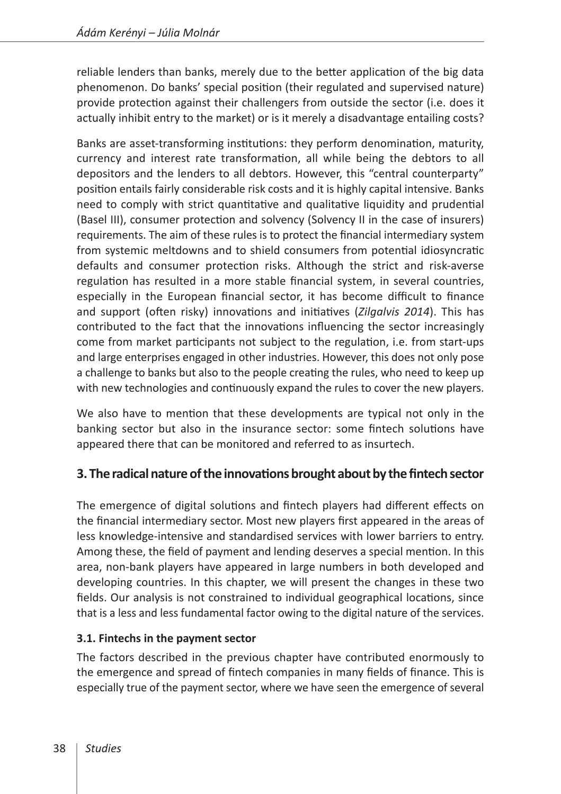reliable lenders than banks, merely due to the better application of the big data phenomenon. Do banks' special position (their regulated and supervised nature) provide protection against their challengers from outside the sector (i.e. does it actually inhibit entry to the market) or is it merely a disadvantage entailing costs?

Banks are asset-transforming institutions: they perform denomination, maturity, currency and interest rate transformation, all while being the debtors to all depositors and the lenders to all debtors. However, this "central counterparty" position entails fairly considerable risk costs and it is highly capital intensive. Banks need to comply with strict quantitative and qualitative liquidity and prudential (Basel III), consumer protection and solvency (Solvency II in the case of insurers) requirements. The aim of these rules is to protect the financial intermediary system from systemic meltdowns and to shield consumers from potential idiosyncratic defaults and consumer protection risks. Although the strict and risk-averse regulation has resulted in a more stable financial system, in several countries, especially in the European financial sector, it has become difficult to finance and support (often risky) innovations and initiatives (*Zilgalvis 2014*). This has contributed to the fact that the innovations influencing the sector increasingly come from market participants not subject to the regulation, i.e. from start-ups and large enterprises engaged in other industries. However, this does not only pose a challenge to banks but also to the people creating the rules, who need to keep up with new technologies and continuously expand the rules to cover the new players.

We also have to mention that these developments are typical not only in the banking sector but also in the insurance sector: some fintech solutions have appeared there that can be monitored and referred to as insurtech.

# **3. The radical nature of the innovations brought about by the fintech sector**

The emergence of digital solutions and fintech players had different effects on the financial intermediary sector. Most new players first appeared in the areas of less knowledge-intensive and standardised services with lower barriers to entry. Among these, the field of payment and lending deserves a special mention. In this area, non-bank players have appeared in large numbers in both developed and developing countries. In this chapter, we will present the changes in these two fields. Our analysis is not constrained to individual geographical locations, since that is a less and less fundamental factor owing to the digital nature of the services.

# **3.1. Fintechs in the payment sector**

The factors described in the previous chapter have contributed enormously to the emergence and spread of fintech companies in many fields of finance. This is especially true of the payment sector, where we have seen the emergence of several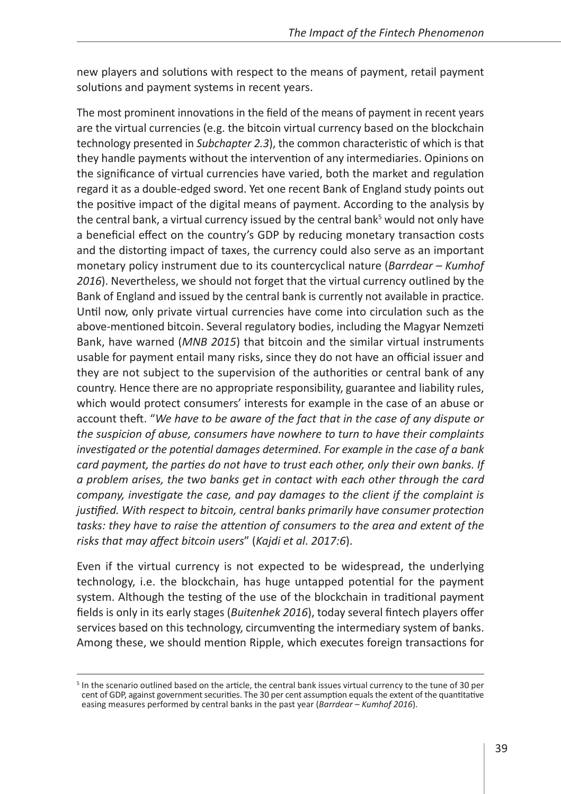new players and solutions with respect to the means of payment, retail payment solutions and payment systems in recent years.

The most prominent innovations in the field of the means of payment in recent years are the virtual currencies (e.g. the bitcoin virtual currency based on the blockchain technology presented in *Subchapter 2.3*), the common characteristic of which is that they handle payments without the intervention of any intermediaries. Opinions on the significance of virtual currencies have varied, both the market and regulation regard it as a double-edged sword. Yet one recent Bank of England study points out the positive impact of the digital means of payment. According to the analysis by the central bank, a virtual currency issued by the central bank<sup>5</sup> would not only have a beneficial effect on the country's GDP by reducing monetary transaction costs and the distorting impact of taxes, the currency could also serve as an important monetary policy instrument due to its countercyclical nature (*Barrdear – Kumhof 2016*). Nevertheless, we should not forget that the virtual currency outlined by the Bank of England and issued by the central bank is currently not available in practice. Until now, only private virtual currencies have come into circulation such as the above-mentioned bitcoin. Several regulatory bodies, including the Magyar Nemzeti Bank, have warned (*MNB 2015*) that bitcoin and the similar virtual instruments usable for payment entail many risks, since they do not have an official issuer and they are not subject to the supervision of the authorities or central bank of any country. Hence there are no appropriate responsibility, guarantee and liability rules, which would protect consumers' interests for example in the case of an abuse or account theft. "*We have to be aware of the fact that in the case of any dispute or the suspicion of abuse, consumers have nowhere to turn to have their complaints investigated or the potential damages determined. For example in the case of a bank card payment, the parties do not have to trust each other, only their own banks. If a problem arises, the two banks get in contact with each other through the card company, investigate the case, and pay damages to the client if the complaint is justified. With respect to bitcoin, central banks primarily have consumer protection tasks: they have to raise the attention of consumers to the area and extent of the risks that may affect bitcoin users*" (*Kajdi et al. 2017:6*).

Even if the virtual currency is not expected to be widespread, the underlying technology, i.e. the blockchain, has huge untapped potential for the payment system. Although the testing of the use of the blockchain in traditional payment fields is only in its early stages (*Buitenhek 2016*), today several fintech players offer services based on this technology, circumventing the intermediary system of banks. Among these, we should mention Ripple, which executes foreign transactions for

<sup>&</sup>lt;sup>5</sup> In the scenario outlined based on the article, the central bank issues virtual currency to the tune of 30 per cent of GDP, against government securities. The 30 per cent assumption equals the extent of the quantitative easing measures performed by central banks in the past year (*Barrdear – Kumhof 2016*).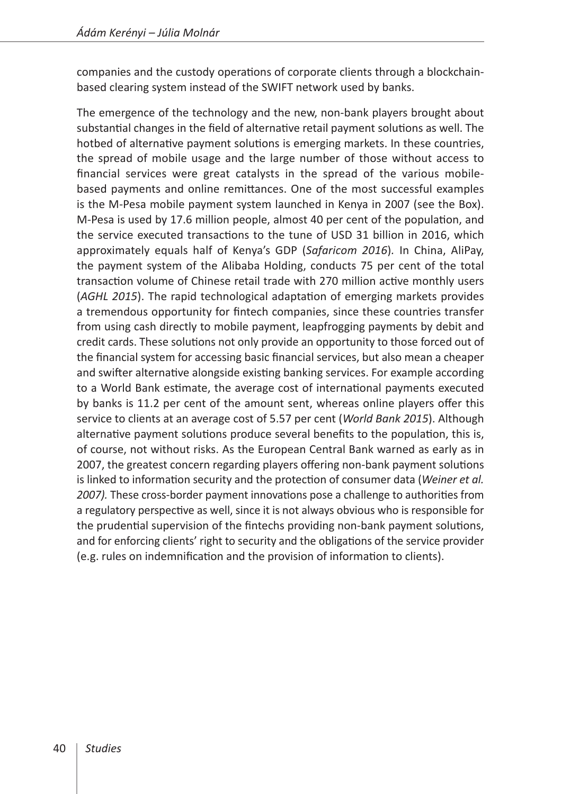companies and the custody operations of corporate clients through a blockchainbased clearing system instead of the SWIFT network used by banks.

The emergence of the technology and the new, non-bank players brought about substantial changes in the field of alternative retail payment solutions as well. The hotbed of alternative payment solutions is emerging markets. In these countries, the spread of mobile usage and the large number of those without access to financial services were great catalysts in the spread of the various mobilebased payments and online remittances. One of the most successful examples is the M-Pesa mobile payment system launched in Kenya in 2007 (see the Box). M-Pesa is used by 17.6 million people, almost 40 per cent of the population, and the service executed transactions to the tune of USD 31 billion in 2016, which approximately equals half of Kenya's GDP (*Safaricom 2016*)*.* In China, AliPay, the payment system of the Alibaba Holding, conducts 75 per cent of the total transaction volume of Chinese retail trade with 270 million active monthly users (*AGHL 2015*). The rapid technological adaptation of emerging markets provides a tremendous opportunity for fintech companies, since these countries transfer from using cash directly to mobile payment, leapfrogging payments by debit and credit cards. These solutions not only provide an opportunity to those forced out of the financial system for accessing basic financial services, but also mean a cheaper and swifter alternative alongside existing banking services. For example according to a World Bank estimate, the average cost of international payments executed by banks is 11.2 per cent of the amount sent, whereas online players offer this service to clients at an average cost of 5.57 per cent (*World Bank 2015*). Although alternative payment solutions produce several benefits to the population, this is, of course, not without risks. As the European Central Bank warned as early as in 2007, the greatest concern regarding players offering non-bank payment solutions is linked to information security and the protection of consumer data (*Weiner et al. 2007).* These cross-border payment innovations pose a challenge to authorities from a regulatory perspective as well, since it is not always obvious who is responsible for the prudential supervision of the fintechs providing non-bank payment solutions, and for enforcing clients' right to security and the obligations of the service provider (e.g. rules on indemnification and the provision of information to clients).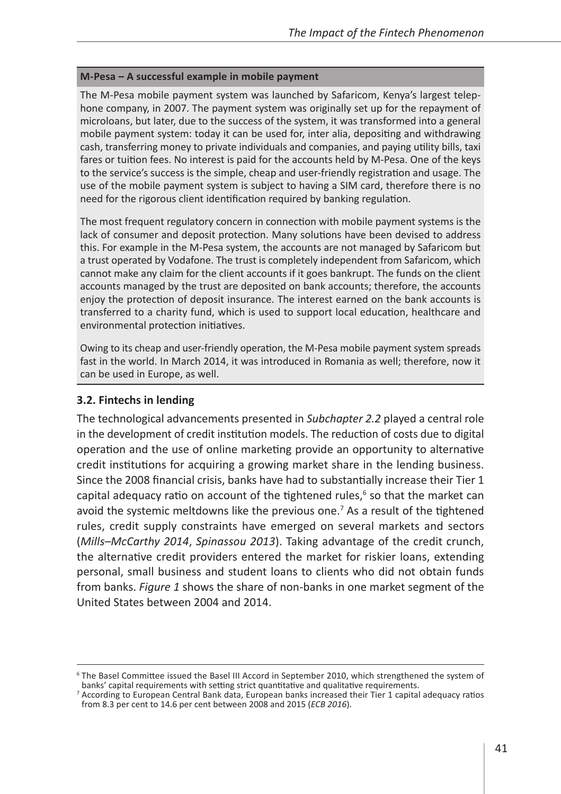#### **M-Pesa – A successful example in mobile payment**

The M-Pesa mobile payment system was launched by Safaricom, Kenya's largest telephone company, in 2007. The payment system was originally set up for the repayment of microloans, but later, due to the success of the system, it was transformed into a general mobile payment system: today it can be used for, inter alia, depositing and withdrawing cash, transferring money to private individuals and companies, and paying utility bills, taxi fares or tuition fees. No interest is paid for the accounts held by M-Pesa. One of the keys to the service's success is the simple, cheap and user-friendly registration and usage. The use of the mobile payment system is subject to having a SIM card, therefore there is no need for the rigorous client identification required by banking regulation.

The most frequent regulatory concern in connection with mobile payment systems is the lack of consumer and deposit protection. Many solutions have been devised to address this. For example in the M-Pesa system, the accounts are not managed by Safaricom but a trust operated by Vodafone. The trust is completely independent from Safaricom, which cannot make any claim for the client accounts if it goes bankrupt. The funds on the client accounts managed by the trust are deposited on bank accounts; therefore, the accounts enjoy the protection of deposit insurance. The interest earned on the bank accounts is transferred to a charity fund, which is used to support local education, healthcare and environmental protection initiatives.

Owing to its cheap and user-friendly operation, the M-Pesa mobile payment system spreads fast in the world. In March 2014, it was introduced in Romania as well; therefore, now it can be used in Europe, as well.

#### **3.2. Fintechs in lending**

The technological advancements presented in *Subchapter 2.2* played a central role in the development of credit institution models. The reduction of costs due to digital operation and the use of online marketing provide an opportunity to alternative credit institutions for acquiring a growing market share in the lending business. Since the 2008 financial crisis, banks have had to substantially increase their Tier 1 capital adequacy ratio on account of the tightened rules,<sup>6</sup> so that the market can avoid the systemic meltdowns like the previous one.<sup>7</sup> As a result of the tightened rules, credit supply constraints have emerged on several markets and sectors (*Mills–McCarthy 2014*, *Spinassou 2013*). Taking advantage of the credit crunch, the alternative credit providers entered the market for riskier loans, extending personal, small business and student loans to clients who did not obtain funds from banks. *Figure 1* shows the share of non-banks in one market segment of the United States between 2004 and 2014.

<sup>&</sup>lt;sup>6</sup> The Basel Committee issued the Basel III Accord in September 2010, which strengthened the system of banks' capital requirements with setting strict quantitative and qualitative requirements.

<sup>7</sup> According to European Central Bank data, European banks increased their Tier 1 capital adequacy ratios from 8.3 per cent to 14.6 per cent between 2008 and 2015 (*ECB 2016*).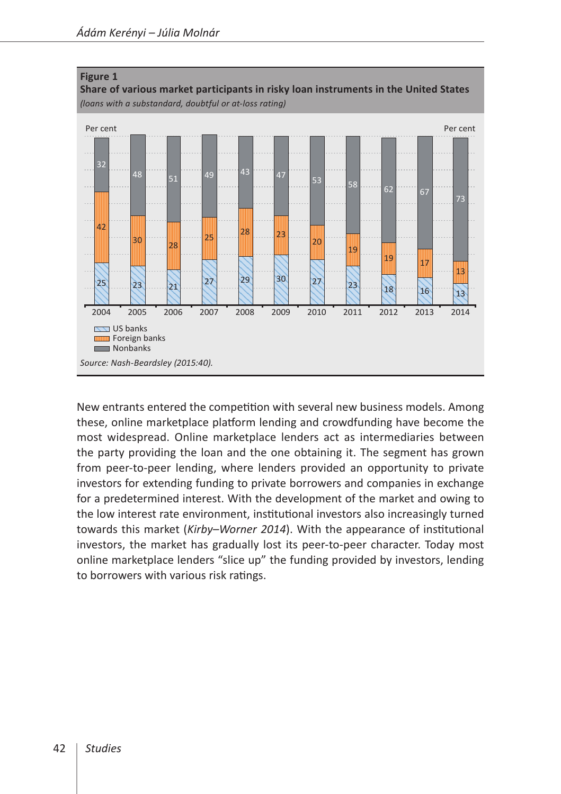

New entrants entered the competition with several new business models. Among these, online marketplace platform lending and crowdfunding have become the most widespread. Online marketplace lenders act as intermediaries between the party providing the loan and the one obtaining it. The segment has grown from peer-to-peer lending, where lenders provided an opportunity to private investors for extending funding to private borrowers and companies in exchange for a predetermined interest. With the development of the market and owing to the low interest rate environment, institutional investors also increasingly turned towards this market (*Kirby–Worner 2014*). With the appearance of institutional investors, the market has gradually lost its peer-to-peer character. Today most online marketplace lenders "slice up" the funding provided by investors, lending to borrowers with various risk ratings.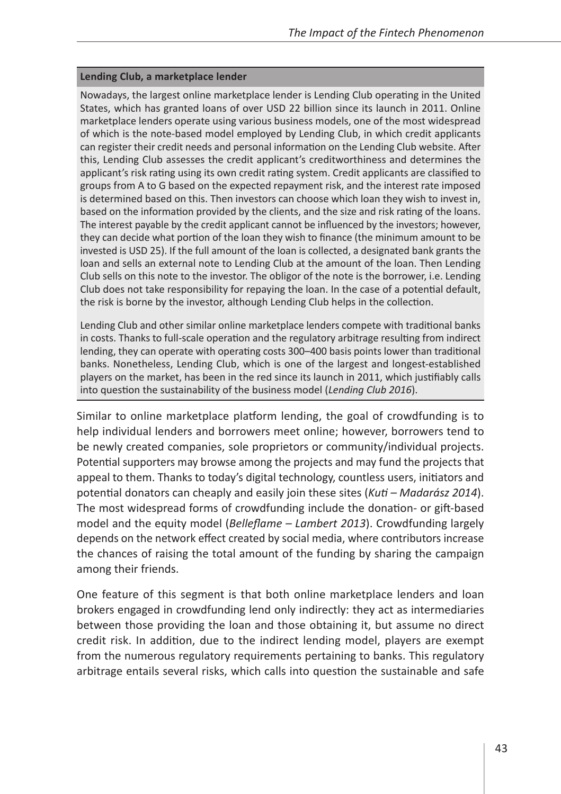#### **Lending Club, a marketplace lender**

Nowadays, the largest online marketplace lender is Lending Club operating in the United States, which has granted loans of over USD 22 billion since its launch in 2011. Online marketplace lenders operate using various business models, one of the most widespread of which is the note-based model employed by Lending Club, in which credit applicants can register their credit needs and personal information on the Lending Club website. After this, Lending Club assesses the credit applicant's creditworthiness and determines the applicant's risk rating using its own credit rating system. Credit applicants are classified to groups from A to G based on the expected repayment risk, and the interest rate imposed is determined based on this. Then investors can choose which loan they wish to invest in, based on the information provided by the clients, and the size and risk rating of the loans. The interest payable by the credit applicant cannot be influenced by the investors; however, they can decide what portion of the loan they wish to finance (the minimum amount to be invested is USD 25). If the full amount of the loan is collected, a designated bank grants the loan and sells an external note to Lending Club at the amount of the loan. Then Lending Club sells on this note to the investor. The obligor of the note is the borrower, i.e. Lending Club does not take responsibility for repaying the loan. In the case of a potential default, the risk is borne by the investor, although Lending Club helps in the collection.

Lending Club and other similar online marketplace lenders compete with traditional banks in costs. Thanks to full-scale operation and the regulatory arbitrage resulting from indirect lending, they can operate with operating costs 300–400 basis points lower than traditional banks. Nonetheless, Lending Club, which is one of the largest and longest-established players on the market, has been in the red since its launch in 2011, which justifiably calls into question the sustainability of the business model (*Lending Club 2016*).

Similar to online marketplace platform lending, the goal of crowdfunding is to help individual lenders and borrowers meet online; however, borrowers tend to be newly created companies, sole proprietors or community/individual projects. Potential supporters may browse among the projects and may fund the projects that appeal to them. Thanks to today's digital technology, countless users, initiators and potential donators can cheaply and easily join these sites (*Kuti – Madarász 2014*). The most widespread forms of crowdfunding include the donation- or gift-based model and the equity model (*Belleflame – Lambert 2013*). Crowdfunding largely depends on the network effect created by social media, where contributors increase the chances of raising the total amount of the funding by sharing the campaign among their friends.

One feature of this segment is that both online marketplace lenders and loan brokers engaged in crowdfunding lend only indirectly: they act as intermediaries between those providing the loan and those obtaining it, but assume no direct credit risk. In addition, due to the indirect lending model, players are exempt from the numerous regulatory requirements pertaining to banks. This regulatory arbitrage entails several risks, which calls into question the sustainable and safe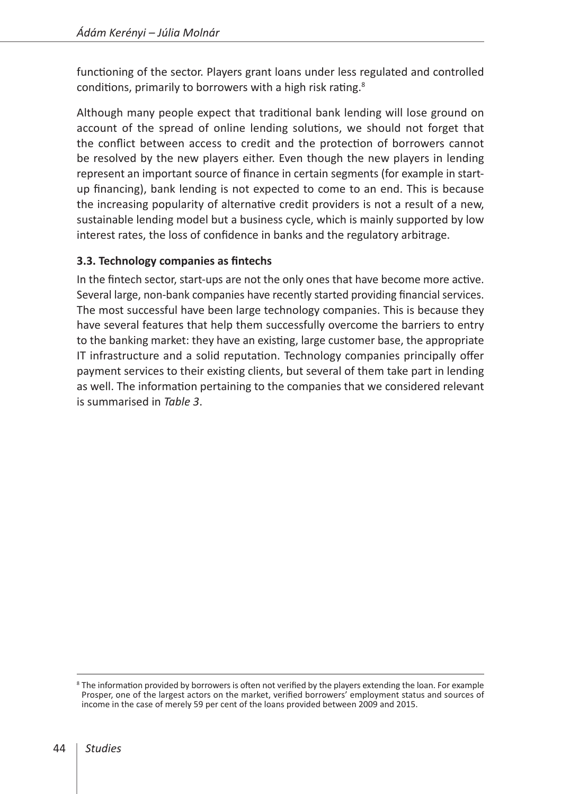functioning of the sector. Players grant loans under less regulated and controlled conditions, primarily to borrowers with a high risk rating.<sup>8</sup>

Although many people expect that traditional bank lending will lose ground on account of the spread of online lending solutions, we should not forget that the conflict between access to credit and the protection of borrowers cannot be resolved by the new players either. Even though the new players in lending represent an important source of finance in certain segments (for example in startup financing), bank lending is not expected to come to an end. This is because the increasing popularity of alternative credit providers is not a result of a new, sustainable lending model but a business cycle, which is mainly supported by low interest rates, the loss of confidence in banks and the regulatory arbitrage.

# **3.3. Technology companies as fintechs**

In the fintech sector, start-ups are not the only ones that have become more active. Several large, non-bank companies have recently started providing financial services. The most successful have been large technology companies. This is because they have several features that help them successfully overcome the barriers to entry to the banking market: they have an existing, large customer base, the appropriate IT infrastructure and a solid reputation. Technology companies principally offer payment services to their existing clients, but several of them take part in lending as well. The information pertaining to the companies that we considered relevant is summarised in *Table 3*.

<sup>&</sup>lt;sup>8</sup> The information provided by borrowers is often not verified by the players extending the loan. For example Prosper, one of the largest actors on the market, verified borrowers' employment status and sources of income in the case of merely 59 per cent of the loans provided between 2009 and 2015.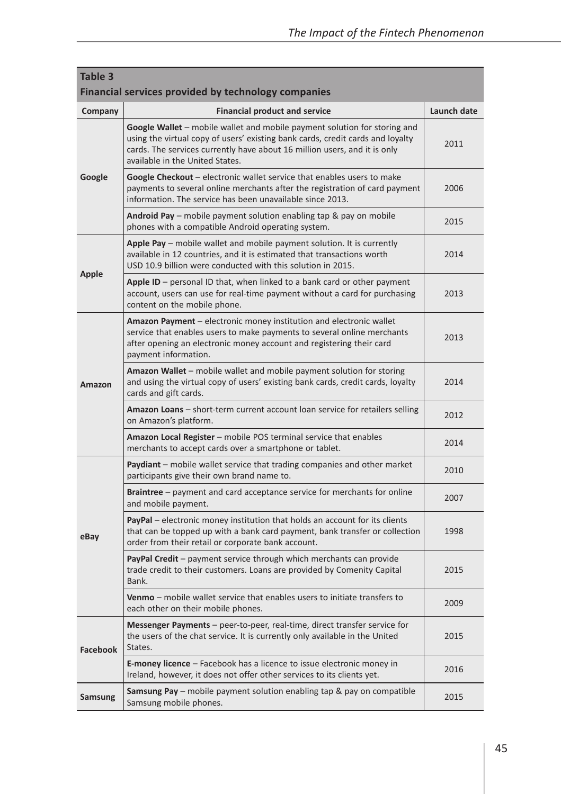| Table 3<br>Financial services provided by technology companies |                                                                                                                                                                                                                                                                             |             |  |  |  |  |
|----------------------------------------------------------------|-----------------------------------------------------------------------------------------------------------------------------------------------------------------------------------------------------------------------------------------------------------------------------|-------------|--|--|--|--|
| Company                                                        | <b>Financial product and service</b>                                                                                                                                                                                                                                        | Launch date |  |  |  |  |
| Google                                                         | Google Wallet – mobile wallet and mobile payment solution for storing and<br>using the virtual copy of users' existing bank cards, credit cards and loyalty<br>cards. The services currently have about 16 million users, and it is only<br>available in the United States. | 2011        |  |  |  |  |
|                                                                | <b>Google Checkout</b> – electronic wallet service that enables users to make<br>payments to several online merchants after the registration of card payment<br>information. The service has been unavailable since 2013.                                                   | 2006        |  |  |  |  |
|                                                                | <b>Android Pay</b> – mobile payment solution enabling tap & pay on mobile<br>phones with a compatible Android operating system.                                                                                                                                             | 2015        |  |  |  |  |
| Apple                                                          | Apple Pay – mobile wallet and mobile payment solution. It is currently<br>available in 12 countries, and it is estimated that transactions worth<br>USD 10.9 billion were conducted with this solution in 2015.                                                             | 2014        |  |  |  |  |
|                                                                | <b>Apple ID</b> – personal ID that, when linked to a bank card or other payment<br>account, users can use for real-time payment without a card for purchasing<br>content on the mobile phone.                                                                               | 2013        |  |  |  |  |
| Amazon                                                         | <b>Amazon Payment</b> – electronic money institution and electronic wallet<br>service that enables users to make payments to several online merchants<br>after opening an electronic money account and registering their card<br>payment information.                       | 2013        |  |  |  |  |
|                                                                | <b>Amazon Wallet</b> – mobile wallet and mobile payment solution for storing<br>and using the virtual copy of users' existing bank cards, credit cards, loyalty<br>cards and gift cards.                                                                                    | 2014        |  |  |  |  |
|                                                                | <b>Amazon Loans</b> – short-term current account loan service for retailers selling<br>on Amazon's platform.                                                                                                                                                                | 2012        |  |  |  |  |
|                                                                | Amazon Local Register - mobile POS terminal service that enables<br>merchants to accept cards over a smartphone or tablet.                                                                                                                                                  | 2014        |  |  |  |  |
| eBay                                                           | <b>Paydiant</b> – mobile wallet service that trading companies and other market<br>participants give their own brand name to.                                                                                                                                               | 2010        |  |  |  |  |
|                                                                | <b>Braintree</b> – payment and card acceptance service for merchants for online<br>and mobile payment.                                                                                                                                                                      | 2007        |  |  |  |  |
|                                                                | <b>PayPal</b> – electronic money institution that holds an account for its clients<br>that can be topped up with a bank card payment, bank transfer or collection<br>order from their retail or corporate bank account.                                                     | 1998        |  |  |  |  |
|                                                                | <b>PayPal Credit</b> – payment service through which merchants can provide<br>trade credit to their customers. Loans are provided by Comenity Capital<br>Bank.                                                                                                              | 2015        |  |  |  |  |
|                                                                | Venmo - mobile wallet service that enables users to initiate transfers to<br>each other on their mobile phones.                                                                                                                                                             | 2009        |  |  |  |  |
| <b>Facebook</b>                                                | Messenger Payments - peer-to-peer, real-time, direct transfer service for<br>the users of the chat service. It is currently only available in the United<br>States.                                                                                                         | 2015        |  |  |  |  |
|                                                                | <b>E-money licence</b> - Facebook has a licence to issue electronic money in<br>Ireland, however, it does not offer other services to its clients yet.                                                                                                                      | 2016        |  |  |  |  |
| Samsung                                                        | <b>Samsung Pay</b> – mobile payment solution enabling tap & pay on compatible<br>Samsung mobile phones.                                                                                                                                                                     | 2015        |  |  |  |  |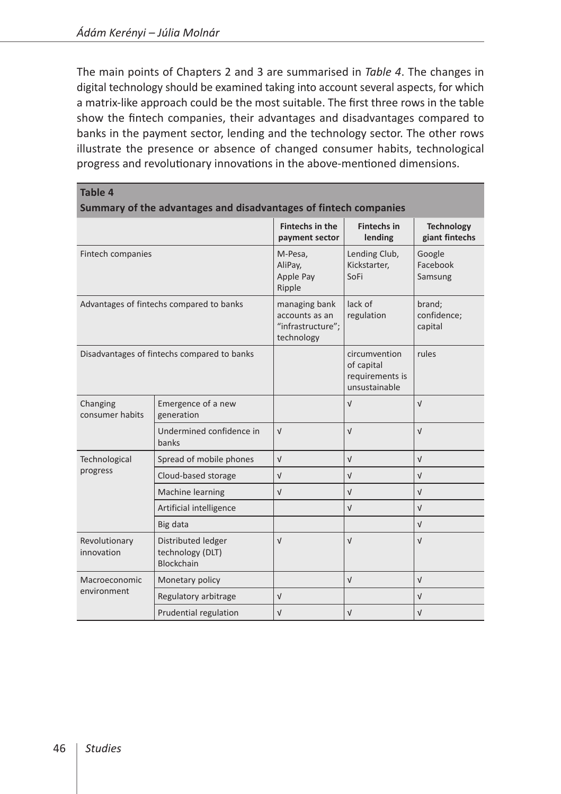The main points of Chapters 2 and 3 are summarised in *Table 4*. The changes in digital technology should be examined taking into account several aspects, for which a matrix-like approach could be the most suitable. The first three rows in the table show the fintech companies, their advantages and disadvantages compared to banks in the payment sector, lending and the technology sector. The other rows illustrate the presence or absence of changed consumer habits, technological progress and revolutionary innovations in the above-mentioned dimensions.

| Table 4<br>Summary of the advantages and disadvantages of fintech companies |                                                      |                                                                    |                                                                 |                                     |  |  |
|-----------------------------------------------------------------------------|------------------------------------------------------|--------------------------------------------------------------------|-----------------------------------------------------------------|-------------------------------------|--|--|
|                                                                             |                                                      | Fintechs in the<br>payment sector                                  | <b>Fintechs in</b><br>lending                                   | <b>Technology</b><br>giant fintechs |  |  |
| Fintech companies                                                           |                                                      | M-Pesa,<br>AliPay,<br>Apple Pay<br>Ripple                          | Lending Club,<br>Kickstarter.<br>SoFi                           | Google<br>Facebook<br>Samsung       |  |  |
| Advantages of fintechs compared to banks                                    |                                                      | managing bank<br>accounts as an<br>"infrastructure";<br>technology | lack of<br>regulation                                           | brand;<br>confidence;<br>capital    |  |  |
| Disadvantages of fintechs compared to banks                                 |                                                      |                                                                    | circumvention<br>of capital<br>requirements is<br>unsustainable | rules                               |  |  |
| Changing<br>consumer habits                                                 | Emergence of a new<br>generation                     |                                                                    | $\sqrt{ }$                                                      | $\sqrt{ }$                          |  |  |
|                                                                             | Undermined confidence in<br>banks                    | $\sqrt{ }$                                                         | $\sqrt{ }$                                                      | $\sqrt{ }$                          |  |  |
| Technological                                                               | Spread of mobile phones                              | $\sqrt{ }$                                                         | $\sqrt{ }$                                                      | $\sqrt{ }$                          |  |  |
| progress                                                                    | Cloud-based storage                                  | $\sqrt{ }$                                                         | $\sqrt{ }$                                                      | $\sqrt{ }$                          |  |  |
|                                                                             | Machine learning                                     | $\sqrt{ }$                                                         | $\sqrt{ }$                                                      | $\sqrt{ }$                          |  |  |
|                                                                             | Artificial intelligence                              |                                                                    | $\sqrt{ }$                                                      | $\sqrt{ }$                          |  |  |
|                                                                             | Big data                                             |                                                                    |                                                                 | $\sqrt{ }$                          |  |  |
| Revolutionary<br>innovation                                                 | Distributed ledger<br>technology (DLT)<br>Blockchain | $\sqrt{ }$                                                         | $\sqrt{ }$                                                      | $\sqrt{ }$                          |  |  |
| Macroeconomic                                                               | Monetary policy                                      |                                                                    | $\sqrt{ }$                                                      | $\sqrt{ }$                          |  |  |
| environment                                                                 | Regulatory arbitrage                                 | $\sqrt{ }$                                                         |                                                                 | $\sqrt{ }$                          |  |  |
|                                                                             | Prudential regulation                                | $\sqrt{ }$                                                         | $\sqrt{ }$                                                      | $\sqrt{ }$                          |  |  |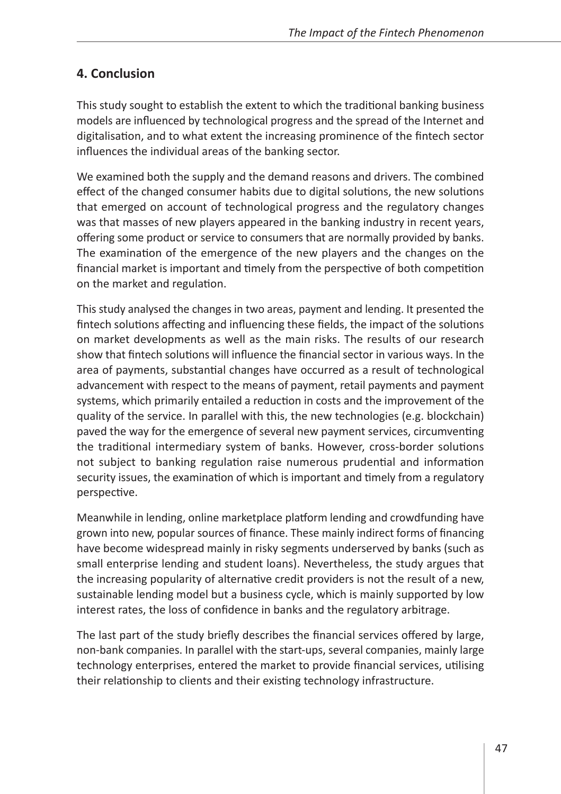# **4. Conclusion**

This study sought to establish the extent to which the traditional banking business models are influenced by technological progress and the spread of the Internet and digitalisation, and to what extent the increasing prominence of the fintech sector influences the individual areas of the banking sector.

We examined both the supply and the demand reasons and drivers. The combined effect of the changed consumer habits due to digital solutions, the new solutions that emerged on account of technological progress and the regulatory changes was that masses of new players appeared in the banking industry in recent years, offering some product or service to consumers that are normally provided by banks. The examination of the emergence of the new players and the changes on the financial market is important and timely from the perspective of both competition on the market and regulation.

This study analysed the changes in two areas, payment and lending. It presented the fintech solutions affecting and influencing these fields, the impact of the solutions on market developments as well as the main risks. The results of our research show that fintech solutions will influence the financial sector in various ways. In the area of payments, substantial changes have occurred as a result of technological advancement with respect to the means of payment, retail payments and payment systems, which primarily entailed a reduction in costs and the improvement of the quality of the service. In parallel with this, the new technologies (e.g. blockchain) paved the way for the emergence of several new payment services, circumventing the traditional intermediary system of banks. However, cross-border solutions not subject to banking regulation raise numerous prudential and information security issues, the examination of which is important and timely from a regulatory perspective.

Meanwhile in lending, online marketplace platform lending and crowdfunding have grown into new, popular sources of finance. These mainly indirect forms of financing have become widespread mainly in risky segments underserved by banks (such as small enterprise lending and student loans). Nevertheless, the study argues that the increasing popularity of alternative credit providers is not the result of a new, sustainable lending model but a business cycle, which is mainly supported by low interest rates, the loss of confidence in banks and the regulatory arbitrage.

The last part of the study briefly describes the financial services offered by large, non-bank companies. In parallel with the start-ups, several companies, mainly large technology enterprises, entered the market to provide financial services, utilising their relationship to clients and their existing technology infrastructure.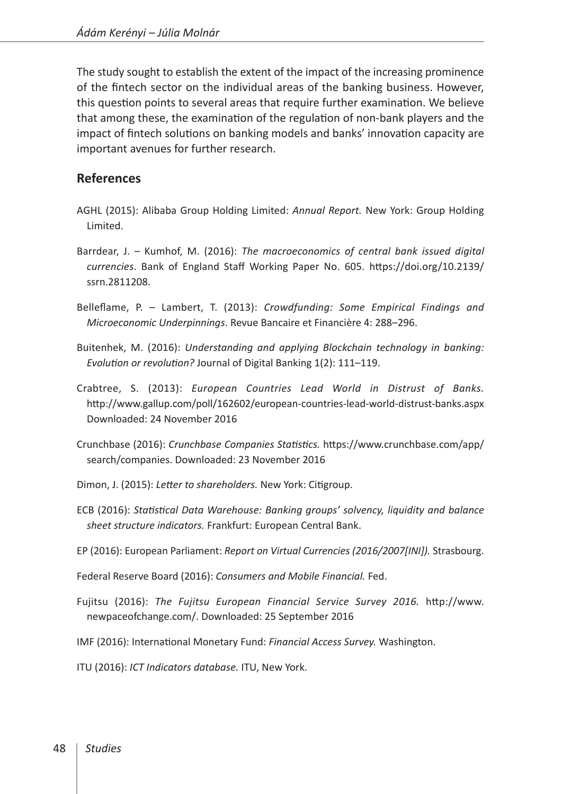The study sought to establish the extent of the impact of the increasing prominence of the fintech sector on the individual areas of the banking business. However, this question points to several areas that require further examination. We believe that among these, the examination of the regulation of non-bank players and the impact of fintech solutions on banking models and banks' innovation capacity are important avenues for further research.

### **References**

- AGHL (2015): Alibaba Group Holding Limited: *Annual Report.* New York: Group Holding Limited.
- Barrdear, J. Kumhof, M. (2016): *The macroeconomics of central bank issued digital currencies*. Bank of England Staff Working Paper No. 605. [https://doi.org/10.2139/](https://doi.org/10.2139/ssrn.2811208) [ssrn.2811208.](https://doi.org/10.2139/ssrn.2811208)
- Belleflame, P. Lambert, T. (2013): *Crowdfunding: Some Empirical Findings and Microeconomic Underpinnings*. Revue Bancaire et Financière 4: 288–296.
- Buitenhek, M. (2016): *Understanding and applying Blockchain technology in banking: Evolution or revolution?* Journal of Digital Banking 1(2): 111–119.
- Crabtree, S. (2013): *European Countries Lead World in Distrust of Banks.* <http://www.gallup.com/poll/162602/european-countries-lead-world-distrust-banks.aspx> Downloaded: 24 November 2016
- Crunchbase (2016): *Crunchbase Companies Statistics.* [https://www.crunchbase.com/app/](https://www.crunchbase.com/app/search/companies) [search/companies](https://www.crunchbase.com/app/search/companies). Downloaded: 23 November 2016

Dimon, J. (2015): *Letter to shareholders.* New York: Citigroup.

- ECB (2016): *Statistical Data Warehouse: Banking groups' solvency, liquidity and balance sheet structure indicators.* Frankfurt: European Central Bank.
- EP (2016): European Parliament: *Report on Virtual Currencies (2016/2007[INI]).* Strasbourg.

Federal Reserve Board (2016): *Consumers and Mobile Financial.* Fed.

- Fujitsu (2016): *The Fujitsu European Financial Service Survey 2016.* [http://www.](http://www.newpaceofchange.com/) [newpaceofchange.com/](http://www.newpaceofchange.com/). Downloaded: 25 September 2016
- IMF (2016): International Monetary Fund: *Financial Access Survey.* Washington.
- ITU (2016): *ICT Indicators database.* ITU, New York.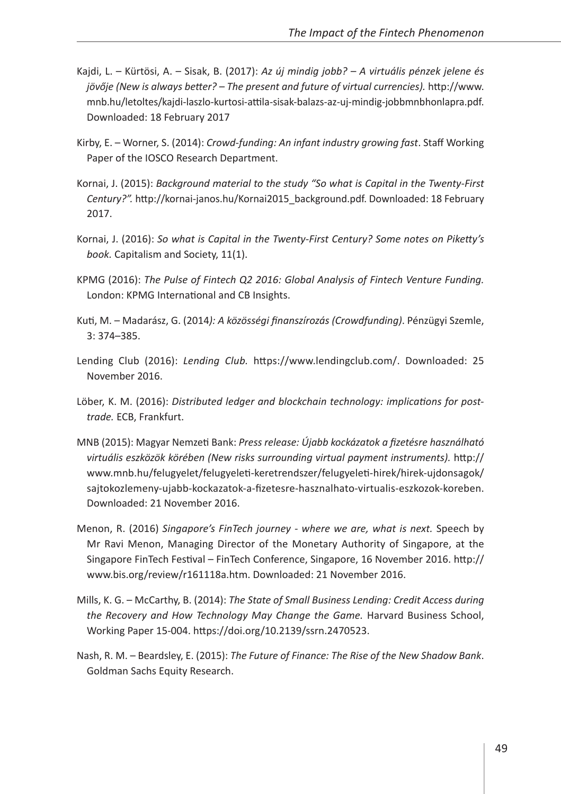- Kajdi, L. Kürtösi, A. Sisak, B. (2017): *Az új mindig jobb? A virtuális pénzek jelene és jövője (New is always better? – The present and future of virtual currencies).* [http://www.](http://www.mnb.hu/letoltes/kajdi-laszlo-kurtosi-attila-sisak-balazs-az-uj-mindig-jobbmnbhonlapra.pdf) [mnb.hu/letoltes/kajdi-laszlo-kurtosi-attila-sisak-balazs-az-uj-mindig-jobbmnbhonlapra.pdf.](http://www.mnb.hu/letoltes/kajdi-laszlo-kurtosi-attila-sisak-balazs-az-uj-mindig-jobbmnbhonlapra.pdf) Downloaded: 18 February 2017
- Kirby, E. Worner, S. (2014): *Crowd-funding: An infant industry growing fast*. Staff Working Paper of the IOSCO Research Department.
- Kornai, J. (2015): *Background material to the study "So what is Capital in the Twenty-First Century?".* [http://kornai-janos.hu/Kornai2015\\_background.pdf. Downloaded: 18 February](http://kornai-janos.hu/Kornai2015_background.pdf) [2017.](http://kornai-janos.hu/Kornai2015_background.pdf)
- Kornai, J. (2016): *So what is Capital in the Twenty-First Century? Some notes on Piketty's book.* Capitalism and Society, 11(1).
- KPMG (2016): *The Pulse of Fintech Q2 2016: Global Analysis of Fintech Venture Funding.*  London: KPMG International and CB Insights.
- Kuti, M. Madarász, G. (2014*): A közösségi finanszírozás (Crowdfunding)*. Pénzügyi Szemle, 3: 374–385.
- Lending Club (2016): *Lending Club.* [https://www.lendingclub.com/](www.lendingclub.com). Downloaded: 25 November 2016.
- Löber, K. M. (2016): *Distributed ledger and blockchain technology: implications for posttrade.* ECB, Frankfurt.
- MNB (2015): Magyar Nemzeti Bank: *Press release: Újabb kockázatok a fizetésre használható virtuális eszközök körében (New risks surrounding virtual payment instruments).* [http://](http://www.mnb.hu/felugyelet/felugyeleti-keretrendszer/felugyeleti-hirek/hirek-ujdonsagok/sajtokozlemeny-ujabb-kockazatok-a-fizetesre-hasznalhato-virtualis-eszkozok-koreben) [www.mnb.hu/felugyelet/felugyeleti-keretrendszer/felugyeleti-hirek/hirek-ujdonsagok/](http://www.mnb.hu/felugyelet/felugyeleti-keretrendszer/felugyeleti-hirek/hirek-ujdonsagok/sajtokozlemeny-ujabb-kockazatok-a-fizetesre-hasznalhato-virtualis-eszkozok-koreben) [sajtokozlemeny-ujabb-kockazatok-a-fizetesre-hasznalhato-virtualis-eszkozok-koreben.](http://www.mnb.hu/felugyelet/felugyeleti-keretrendszer/felugyeleti-hirek/hirek-ujdonsagok/sajtokozlemeny-ujabb-kockazatok-a-fizetesre-hasznalhato-virtualis-eszkozok-koreben) Downloaded: 21 November 2016.
- Menon, R. (2016) *Singapore's FinTech journey where we are, what is next.* Speech by Mr Ravi Menon, Managing Director of the Monetary Authority of Singapore, at the Singapore FinTech Festival – FinTech Conference, Singapore, 16 November 2016. [http://](http://www.bis.org/review/r161118a.htm) [www.bis.org/review/r161118a.htm](http://www.bis.org/review/r161118a.htm). Downloaded: 21 November 2016.
- Mills, K. G. McCarthy, B. (2014): *The State of Small Business Lending: Credit Access during the Recovery and How Technology May Change the Game.* Harvard Business School, Working Paper 15-004.<https://doi.org/10.2139/ssrn.2470523>.
- Nash, R. M. Beardsley, E. (2015): *The Future of Finance: The Rise of the New Shadow Bank*. Goldman Sachs Equity Research.